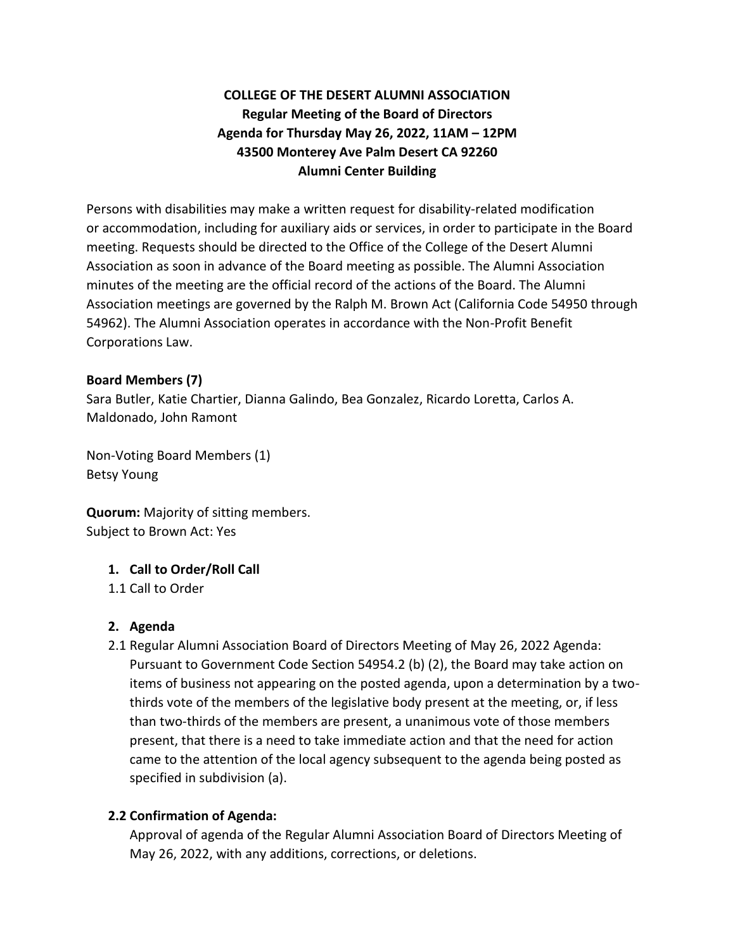# **COLLEGE OF THE DESERT ALUMNI ASSOCIATION Regular Meeting of the Board of Directors Agenda for Thursday May 26, 2022, 11AM – 12PM 43500 Monterey Ave Palm Desert CA 92260 Alumni Center Building**

Persons with disabilities may make a written request for disability-related modification or accommodation, including for auxiliary aids or services, in order to participate in the Board meeting. Requests should be directed to the Office of the College of the Desert Alumni Association as soon in advance of the Board meeting as possible. The Alumni Association minutes of the meeting are the official record of the actions of the Board. The Alumni Association meetings are governed by the Ralph M. Brown Act (California Code 54950 through 54962). The Alumni Association operates in accordance with the Non-Profit Benefit Corporations Law.

#### **Board Members (7)**

Sara Butler, Katie Chartier, Dianna Galindo, Bea Gonzalez, Ricardo Loretta, Carlos A. Maldonado, John Ramont

Non-Voting Board Members (1) Betsy Young

**Quorum:** Majority of sitting members. Subject to Brown Act: Yes

# **1. Call to Order/Roll Call**

1.1 Call to Order

# **2. Agenda**

2.1 Regular Alumni Association Board of Directors Meeting of May 26, 2022 Agenda: Pursuant to Government Code Section 54954.2 (b) (2), the Board may take action on items of business not appearing on the posted agenda, upon a determination by a twothirds vote of the members of the legislative body present at the meeting, or, if less than two-thirds of the members are present, a unanimous vote of those members present, that there is a need to take immediate action and that the need for action came to the attention of the local agency subsequent to the agenda being posted as specified in subdivision (a).

# **2.2 Confirmation of Agenda:**

Approval of agenda of the Regular Alumni Association Board of Directors Meeting of May 26, 2022, with any additions, corrections, or deletions.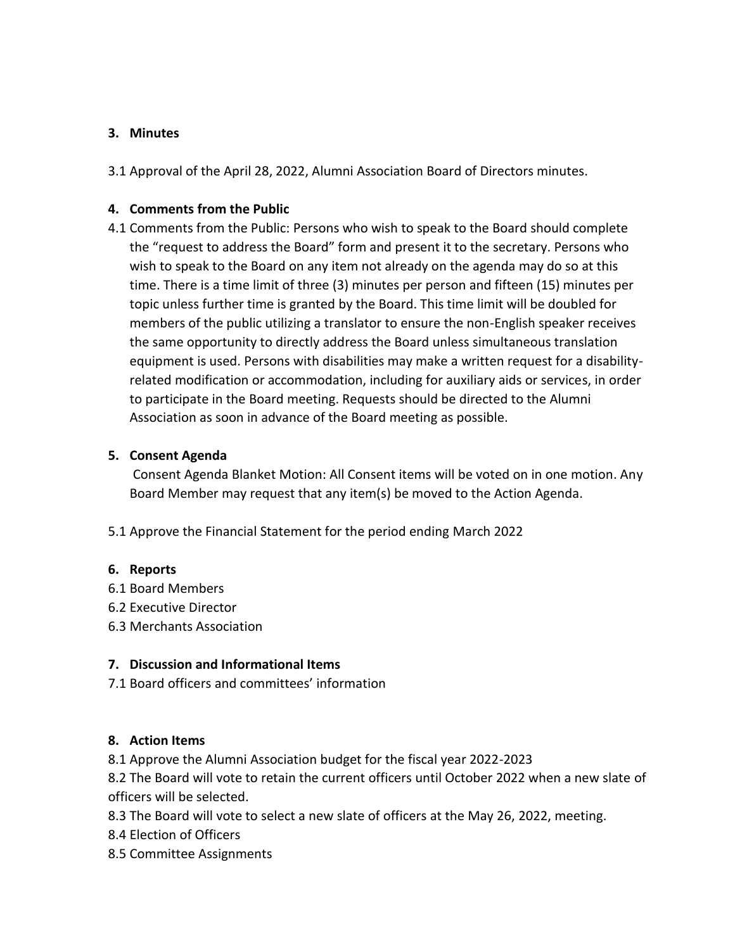### **3. Minutes**

3.1 Approval of the April 28, 2022, Alumni Association Board of Directors minutes.

## **4. Comments from the Public**

4.1 Comments from the Public: Persons who wish to speak to the Board should complete the "request to address the Board" form and present it to the secretary. Persons who wish to speak to the Board on any item not already on the agenda may do so at this time. There is a time limit of three (3) minutes per person and fifteen (15) minutes per topic unless further time is granted by the Board. This time limit will be doubled for members of the public utilizing a translator to ensure the non-English speaker receives the same opportunity to directly address the Board unless simultaneous translation equipment is used. Persons with disabilities may make a written request for a disabilityrelated modification or accommodation, including for auxiliary aids or services, in order to participate in the Board meeting. Requests should be directed to the Alumni Association as soon in advance of the Board meeting as possible.

## **5. Consent Agenda**

Consent Agenda Blanket Motion: All Consent items will be voted on in one motion. Any Board Member may request that any item(s) be moved to the Action Agenda.

5.1 Approve the Financial Statement for the period ending March 2022

#### **6. Reports**

- 6.1 Board Members
- 6.2 Executive Director
- 6.3 Merchants Association

#### **7. Discussion and Informational Items**

7.1 Board officers and committees' information

# **8. Action Items**

8.1 Approve the Alumni Association budget for the fiscal year 2022-2023

8.2 The Board will vote to retain the current officers until October 2022 when a new slate of officers will be selected.

- 8.3 The Board will vote to select a new slate of officers at the May 26, 2022, meeting.
- 8.4 Election of Officers
- 8.5 Committee Assignments